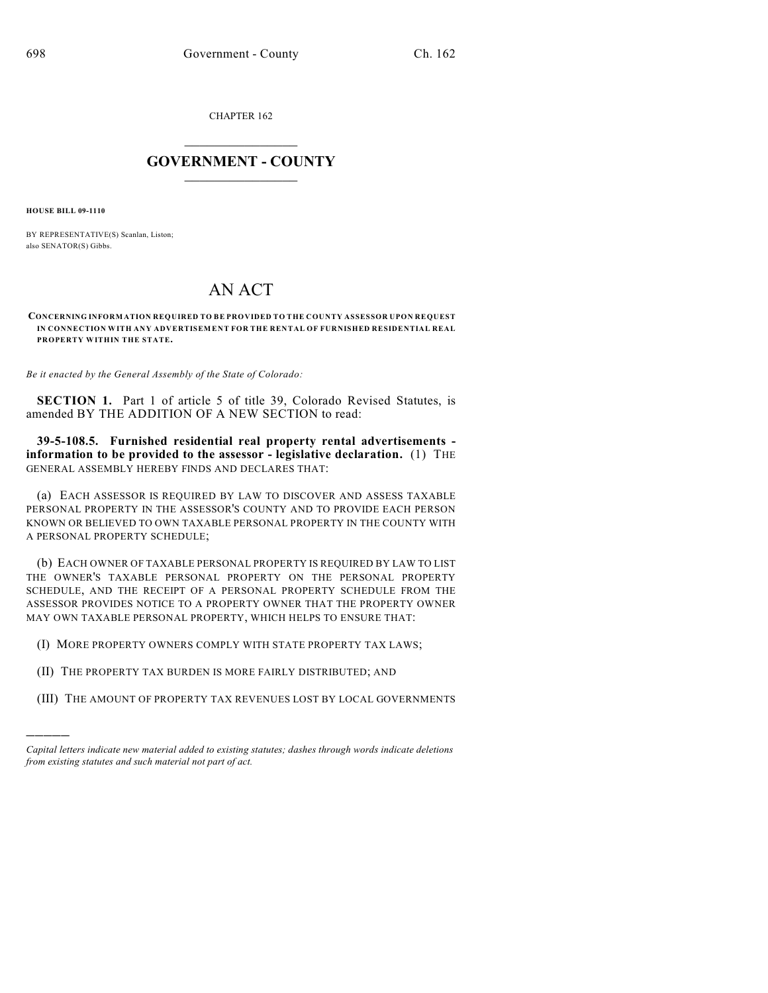CHAPTER 162

## $\mathcal{L}_\text{max}$  . The set of the set of the set of the set of the set of the set of the set of the set of the set of the set of the set of the set of the set of the set of the set of the set of the set of the set of the set **GOVERNMENT - COUNTY**  $\_$

**HOUSE BILL 09-1110**

)))))

BY REPRESENTATIVE(S) Scanlan, Liston; also SENATOR(S) Gibbs.

## AN ACT

**CONCERNING INFORMATION REQUIRED TO BE PROVIDED TO THE COUNTY ASSESSOR UPON REQUEST IN CONNECTION WITH ANY ADVERTISEMENT FOR THE RENTAL OF FURNISHED RESIDENTIAL REAL PROPERTY WITHIN THE STATE.**

*Be it enacted by the General Assembly of the State of Colorado:*

**SECTION 1.** Part 1 of article 5 of title 39, Colorado Revised Statutes, is amended BY THE ADDITION OF A NEW SECTION to read:

**39-5-108.5. Furnished residential real property rental advertisements information to be provided to the assessor - legislative declaration.** (1) THE GENERAL ASSEMBLY HEREBY FINDS AND DECLARES THAT:

(a) EACH ASSESSOR IS REQUIRED BY LAW TO DISCOVER AND ASSESS TAXABLE PERSONAL PROPERTY IN THE ASSESSOR'S COUNTY AND TO PROVIDE EACH PERSON KNOWN OR BELIEVED TO OWN TAXABLE PERSONAL PROPERTY IN THE COUNTY WITH A PERSONAL PROPERTY SCHEDULE;

(b) EACH OWNER OF TAXABLE PERSONAL PROPERTY IS REQUIRED BY LAW TO LIST THE OWNER'S TAXABLE PERSONAL PROPERTY ON THE PERSONAL PROPERTY SCHEDULE, AND THE RECEIPT OF A PERSONAL PROPERTY SCHEDULE FROM THE ASSESSOR PROVIDES NOTICE TO A PROPERTY OWNER THAT THE PROPERTY OWNER MAY OWN TAXABLE PERSONAL PROPERTY, WHICH HELPS TO ENSURE THAT:

- (I) MORE PROPERTY OWNERS COMPLY WITH STATE PROPERTY TAX LAWS;
- (II) THE PROPERTY TAX BURDEN IS MORE FAIRLY DISTRIBUTED; AND
- (III) THE AMOUNT OF PROPERTY TAX REVENUES LOST BY LOCAL GOVERNMENTS

*Capital letters indicate new material added to existing statutes; dashes through words indicate deletions from existing statutes and such material not part of act.*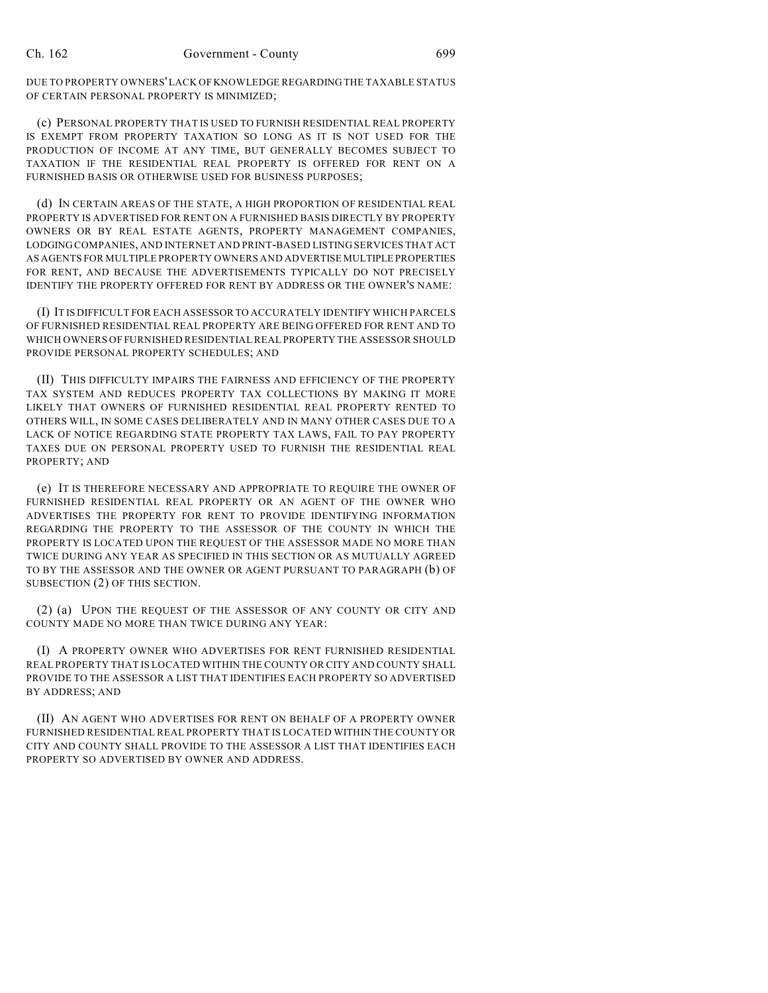DUE TO PROPERTY OWNERS' LACK OF KNOWLEDGE REGARDING THE TAXABLE STATUS OF CERTAIN PERSONAL PROPERTY IS MINIMIZED;

(c) PERSONAL PROPERTY THAT IS USED TO FURNISH RESIDENTIAL REAL PROPERTY IS EXEMPT FROM PROPERTY TAXATION SO LONG AS IT IS NOT USED FOR THE PRODUCTION OF INCOME AT ANY TIME, BUT GENERALLY BECOMES SUBJECT TO TAXATION IF THE RESIDENTIAL REAL PROPERTY IS OFFERED FOR RENT ON A FURNISHED BASIS OR OTHERWISE USED FOR BUSINESS PURPOSES;

(d) IN CERTAIN AREAS OF THE STATE, A HIGH PROPORTION OF RESIDENTIAL REAL PROPERTY IS ADVERTISED FOR RENT ON A FURNISHED BASIS DIRECTLY BY PROPERTY OWNERS OR BY REAL ESTATE AGENTS, PROPERTY MANAGEMENT COMPANIES, LODGING COMPANIES, AND INTERNET AND PRINT-BASED LISTING SERVICES THAT ACT AS AGENTS FOR MULTIPLE PROPERTY OWNERS AND ADVERTISE MULTIPLE PROPERTIES FOR RENT, AND BECAUSE THE ADVERTISEMENTS TYPICALLY DO NOT PRECISELY IDENTIFY THE PROPERTY OFFERED FOR RENT BY ADDRESS OR THE OWNER'S NAME:

(I) IT IS DIFFICULT FOR EACH ASSESSOR TO ACCURATELY IDENTIFY WHICH PARCELS OF FURNISHED RESIDENTIAL REAL PROPERTY ARE BEING OFFERED FOR RENT AND TO WHICH OWNERS OF FURNISHED RESIDENTIAL REAL PROPERTY THE ASSESSOR SHOULD PROVIDE PERSONAL PROPERTY SCHEDULES; AND

(II) THIS DIFFICULTY IMPAIRS THE FAIRNESS AND EFFICIENCY OF THE PROPERTY TAX SYSTEM AND REDUCES PROPERTY TAX COLLECTIONS BY MAKING IT MORE LIKELY THAT OWNERS OF FURNISHED RESIDENTIAL REAL PROPERTY RENTED TO OTHERS WILL, IN SOME CASES DELIBERATELY AND IN MANY OTHER CASES DUE TO A LACK OF NOTICE REGARDING STATE PROPERTY TAX LAWS, FAIL TO PAY PROPERTY TAXES DUE ON PERSONAL PROPERTY USED TO FURNISH THE RESIDENTIAL REAL PROPERTY; AND

(e) IT IS THEREFORE NECESSARY AND APPROPRIATE TO REQUIRE THE OWNER OF FURNISHED RESIDENTIAL REAL PROPERTY OR AN AGENT OF THE OWNER WHO ADVERTISES THE PROPERTY FOR RENT TO PROVIDE IDENTIFYING INFORMATION REGARDING THE PROPERTY TO THE ASSESSOR OF THE COUNTY IN WHICH THE PROPERTY IS LOCATED UPON THE REQUEST OF THE ASSESSOR MADE NO MORE THAN TWICE DURING ANY YEAR AS SPECIFIED IN THIS SECTION OR AS MUTUALLY AGREED TO BY THE ASSESSOR AND THE OWNER OR AGENT PURSUANT TO PARAGRAPH (b) OF SUBSECTION (2) OF THIS SECTION.

(2) (a) UPON THE REQUEST OF THE ASSESSOR OF ANY COUNTY OR CITY AND COUNTY MADE NO MORE THAN TWICE DURING ANY YEAR:

(I) A PROPERTY OWNER WHO ADVERTISES FOR RENT FURNISHED RESIDENTIAL REAL PROPERTY THAT IS LOCATED WITHIN THE COUNTY OR CITY AND COUNTY SHALL PROVIDE TO THE ASSESSOR A LIST THAT IDENTIFIES EACH PROPERTY SO ADVERTISED BY ADDRESS; AND

(II) AN AGENT WHO ADVERTISES FOR RENT ON BEHALF OF A PROPERTY OWNER FURNISHED RESIDENTIAL REAL PROPERTY THAT IS LOCATED WITHIN THE COUNTY OR CITY AND COUNTY SHALL PROVIDE TO THE ASSESSOR A LIST THAT IDENTIFIES EACH PROPERTY SO ADVERTISED BY OWNER AND ADDRESS.